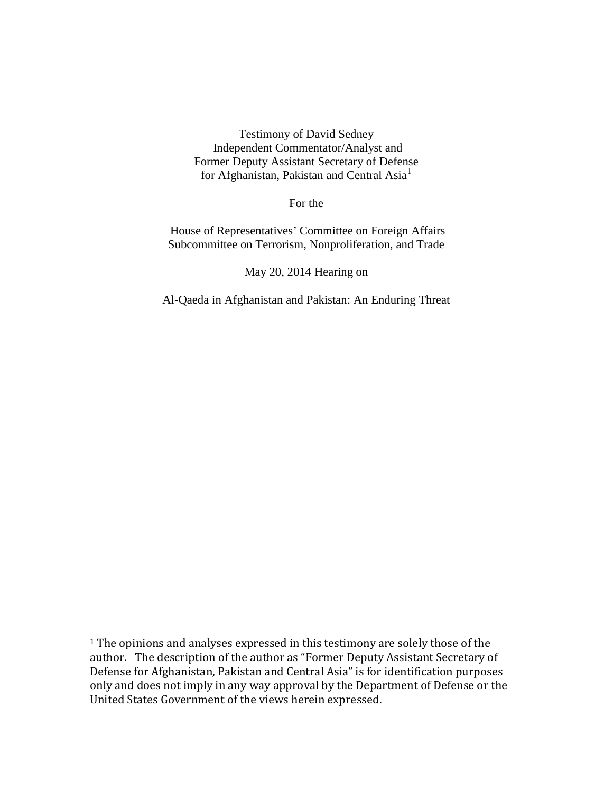Testimony of David Sedney Independent Commentator/Analyst and Former Deputy Assistant Secretary of Defense for Afghanistan, Pakistan and Central Asia<sup>[1](#page-0-0)</sup>

For the

House of Representatives' Committee on Foreign Affairs Subcommittee on Terrorism, Nonproliferation, and Trade

May 20, 2014 Hearing on

Al-Qaeda in Afghanistan and Pakistan: An Enduring Threat

 $\overline{a}$ 

<span id="page-0-0"></span><sup>&</sup>lt;sup>1</sup> The opinions and analyses expressed in this testimony are solely those of the author. The description of the author as "Former Deputy Assistant Secretary of Defense for Afghanistan, Pakistan and Central Asia" is for identification purposes only and does not imply in any way approval by the Department of Defense or the United States Government of the views herein expressed.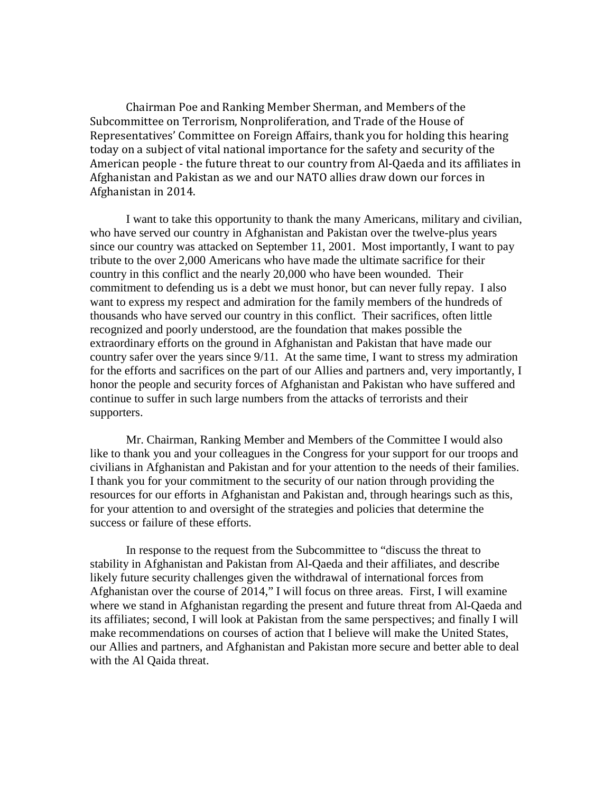Chairman Poe and Ranking Member Sherman, and Members of the Subcommittee on Terrorism, Nonproliferation, and Trade of the House of Representatives' Committee on Foreign Affairs, thank you for holding this hearing today on a subject of vital national importance for the safety and security of the American people - the future threat to our country from Al-Qaeda and its affiliates in Afghanistan and Pakistan as we and our NATO allies draw down our forces in Afghanistan in 2014.

I want to take this opportunity to thank the many Americans, military and civilian, who have served our country in Afghanistan and Pakistan over the twelve-plus years since our country was attacked on September 11, 2001. Most importantly, I want to pay tribute to the over 2,000 Americans who have made the ultimate sacrifice for their country in this conflict and the nearly 20,000 who have been wounded. Their commitment to defending us is a debt we must honor, but can never fully repay. I also want to express my respect and admiration for the family members of the hundreds of thousands who have served our country in this conflict. Their sacrifices, often little recognized and poorly understood, are the foundation that makes possible the extraordinary efforts on the ground in Afghanistan and Pakistan that have made our country safer over the years since 9/11. At the same time, I want to stress my admiration for the efforts and sacrifices on the part of our Allies and partners and, very importantly, I honor the people and security forces of Afghanistan and Pakistan who have suffered and continue to suffer in such large numbers from the attacks of terrorists and their supporters.

Mr. Chairman, Ranking Member and Members of the Committee I would also like to thank you and your colleagues in the Congress for your support for our troops and civilians in Afghanistan and Pakistan and for your attention to the needs of their families. I thank you for your commitment to the security of our nation through providing the resources for our efforts in Afghanistan and Pakistan and, through hearings such as this, for your attention to and oversight of the strategies and policies that determine the success or failure of these efforts.

In response to the request from the Subcommittee to "discuss the threat to stability in Afghanistan and Pakistan from Al-Qaeda and their affiliates, and describe likely future security challenges given the withdrawal of international forces from Afghanistan over the course of 2014," I will focus on three areas. First, I will examine where we stand in Afghanistan regarding the present and future threat from Al-Qaeda and its affiliates; second, I will look at Pakistan from the same perspectives; and finally I will make recommendations on courses of action that I believe will make the United States, our Allies and partners, and Afghanistan and Pakistan more secure and better able to deal with the Al Qaida threat.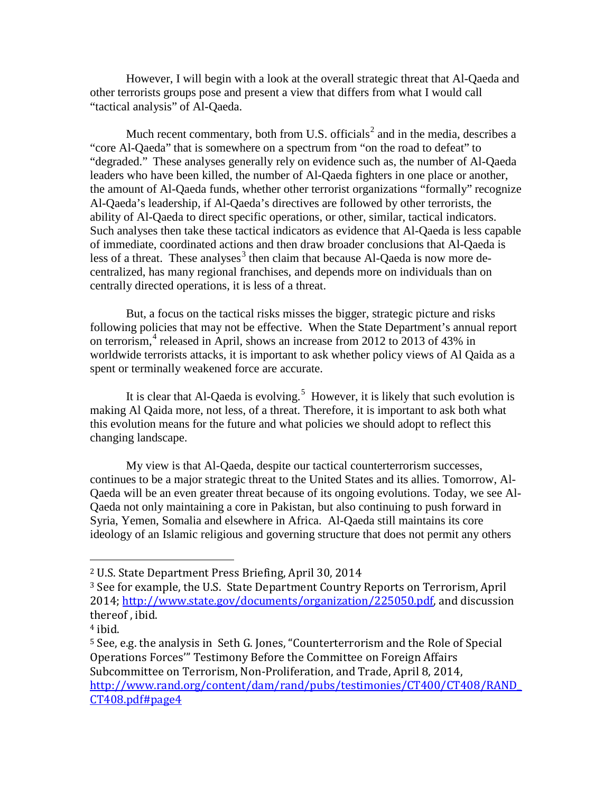However, I will begin with a look at the overall strategic threat that Al-Qaeda and other terrorists groups pose and present a view that differs from what I would call "tactical analysis" of Al-Qaeda.

Much recent commentary, both from U.S. officials<sup>[2](#page-2-0)</sup> and in the media, describes a "core Al-Qaeda" that is somewhere on a spectrum from "on the road to defeat" to "degraded." These analyses generally rely on evidence such as, the number of Al-Qaeda leaders who have been killed, the number of Al-Qaeda fighters in one place or another, the amount of Al-Qaeda funds, whether other terrorist organizations "formally" recognize Al-Qaeda's leadership, if Al-Qaeda's directives are followed by other terrorists, the ability of Al-Qaeda to direct specific operations, or other, similar, tactical indicators. Such analyses then take these tactical indicators as evidence that Al-Qaeda is less capable of immediate, coordinated actions and then draw broader conclusions that Al-Qaeda is less of a threat. These analyses<sup>[3](#page-2-1)</sup> then claim that because Al-Qaeda is now more decentralized, has many regional franchises, and depends more on individuals than on centrally directed operations, it is less of a threat.

But, a focus on the tactical risks misses the bigger, strategic picture and risks following policies that may not be effective. When the State Department's annual report on terrorism,  $4$  released in April, shows an increase from 2012 to 2013 of 43% in worldwide terrorists attacks, it is important to ask whether policy views of Al Qaida as a spent or terminally weakened force are accurate.

It is clear that Al-Qaeda is evolving.<sup>[5](#page-2-3)</sup> However, it is likely that such evolution is making Al Qaida more, not less, of a threat. Therefore, it is important to ask both what this evolution means for the future and what policies we should adopt to reflect this changing landscape.

My view is that Al-Qaeda, despite our tactical counterterrorism successes, continues to be a major strategic threat to the United States and its allies. Tomorrow, Al-Qaeda will be an even greater threat because of its ongoing evolutions. Today, we see Al-Qaeda not only maintaining a core in Pakistan, but also continuing to push forward in Syria, Yemen, Somalia and elsewhere in Africa. Al-Qaeda still maintains its core ideology of an Islamic religious and governing structure that does not permit any others

<u>.</u>

<span id="page-2-0"></span><sup>2</sup> U.S. State Department Press Briefing, April 30, 2014

<span id="page-2-1"></span><sup>3</sup> See for example, the U.S. State Department Country Reports on Terrorism, April 2014; [http://www.state.gov/documents/organization/225050.pdf,](http://www.state.gov/documents/organization/225050.pdf) and discussion thereof , ibid.

<span id="page-2-2"></span><sup>4</sup> ibid.

<span id="page-2-3"></span><sup>5</sup> See, e.g. the analysis in Seth G. Jones, "Counterterrorism and the Role of Special Operations Forces'" Testimony Before the Committee on Foreign Affairs Subcommittee on Terrorism, Non-Proliferation, and Trade, April 8, 2014, [http://www.rand.org/content/dam/rand/pubs/testimonies/CT400/CT408/RAND\\_](http://www.rand.org/content/dam/rand/pubs/testimonies/CT400/CT408/RAND_CT408.pdf%23page4) [CT408.pdf#page4](http://www.rand.org/content/dam/rand/pubs/testimonies/CT400/CT408/RAND_CT408.pdf%23page4)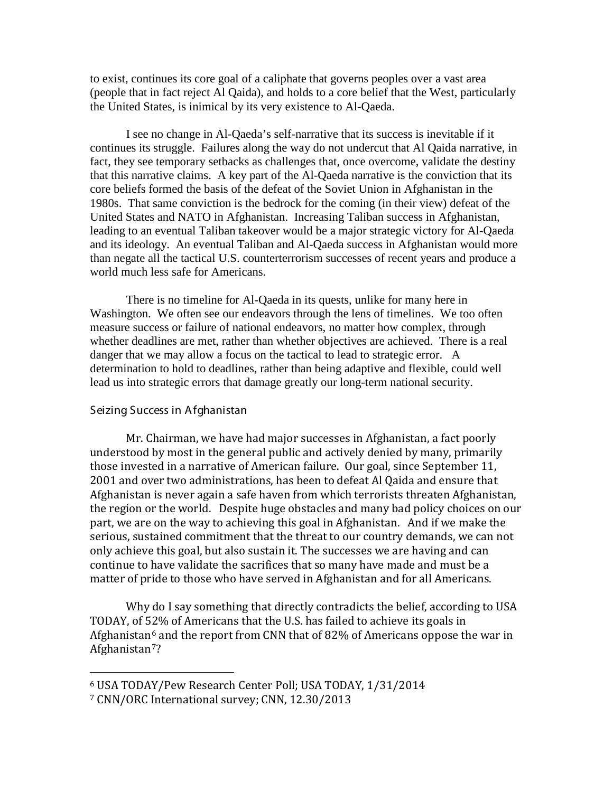to exist, continues its core goal of a caliphate that governs peoples over a vast area (people that in fact reject Al Qaida), and holds to a core belief that the West, particularly the United States, is inimical by its very existence to Al-Qaeda.

I see no change in Al-Qaeda's self-narrative that its success is inevitable if it continues its struggle. Failures along the way do not undercut that Al Qaida narrative, in fact, they see temporary setbacks as challenges that, once overcome, validate the destiny that this narrative claims. A key part of the Al-Qaeda narrative is the conviction that its core beliefs formed the basis of the defeat of the Soviet Union in Afghanistan in the 1980s. That same conviction is the bedrock for the coming (in their view) defeat of the United States and NATO in Afghanistan. Increasing Taliban success in Afghanistan, leading to an eventual Taliban takeover would be a major strategic victory for Al-Qaeda and its ideology. An eventual Taliban and Al-Qaeda success in Afghanistan would more than negate all the tactical U.S. counterterrorism successes of recent years and produce a world much less safe for Americans.

There is no timeline for Al-Qaeda in its quests, unlike for many here in Washington. We often see our endeavors through the lens of timelines. We too often measure success or failure of national endeavors, no matter how complex, through whether deadlines are met, rather than whether objectives are achieved. There is a real danger that we may allow a focus on the tactical to lead to strategic error. A determination to hold to deadlines, rather than being adaptive and flexible, could well lead us into strategic errors that damage greatly our long-term national security.

## Seizing Success in A fghanistan

<u>.</u>

Mr. Chairman, we have had major successes in Afghanistan, a fact poorly understood by most in the general public and actively denied by many, primarily those invested in a narrative of American failure. Our goal, since September 11, 2001 and over two administrations, has been to defeat Al Qaida and ensure that Afghanistan is never again a safe haven from which terrorists threaten Afghanistan, the region or the world. Despite huge obstacles and many bad policy choices on our part, we are on the way to achieving this goal in Afghanistan. And if we make the serious, sustained commitment that the threat to our country demands, we can not only achieve this goal, but also sustain it. The successes we are having and can continue to have validate the sacrifices that so many have made and must be a matter of pride to those who have served in Afghanistan and for all Americans.

Why do I say something that directly contradicts the belief, according to USA TODAY, of 52% of Americans that the U.S. has failed to achieve its goals in Afghanistan<sup>[6](#page-3-0)</sup> and the report from CNN that of 82% of Americans oppose the war in Afghanistan<sup>7</sup>?

<span id="page-3-0"></span><sup>6</sup> USA TODAY/Pew Research Center Poll; USA TODAY, 1/31/2014

<span id="page-3-1"></span><sup>7</sup> CNN/ORC International survey; CNN, 12.30/2013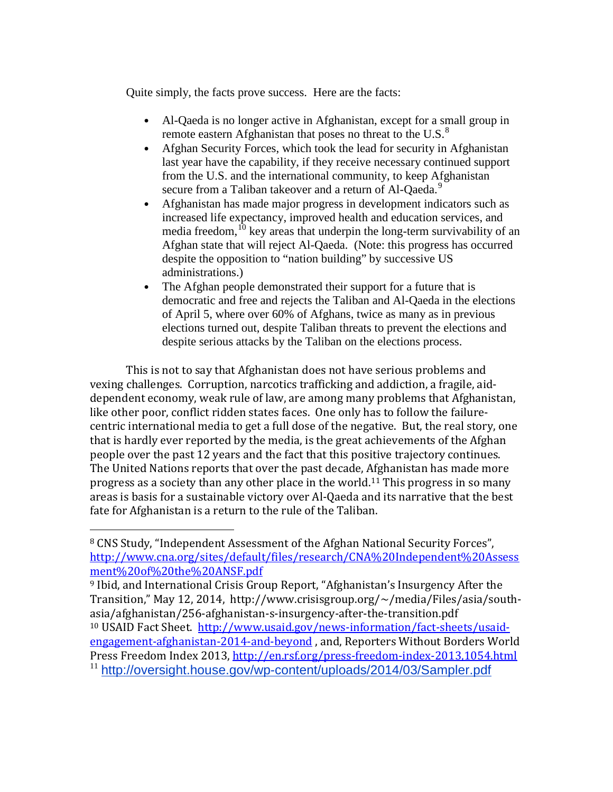Quite simply, the facts prove success. Here are the facts:

- Al-Qaeda is no longer active in Afghanistan, except for a small group in remote eastern Afghanistan that poses no threat to the U.S. $<sup>8</sup>$  $<sup>8</sup>$  $<sup>8</sup>$ </sup>
- Afghan Security Forces, which took the lead for security in Afghanistan last year have the capability, if they receive necessary continued support from the U.S. and the international community, to keep Afghanistan secure from a Taliban takeover and a return of Al-Qaeda.<sup>[9](#page-4-1)</sup>
- Afghanistan has made major progress in development indicators such as increased life expectancy, improved health and education services, and media freedom, $^{10}$  $^{10}$  $^{10}$  key areas that underpin the long-term survivability of an Afghan state that will reject Al-Qaeda. (Note: this progress has occurred despite the opposition to "nation building" by successive US administrations.)
- The Afghan people demonstrated their support for a future that is democratic and free and rejects the Taliban and Al-Qaeda in the elections of April 5, where over 60% of Afghans, twice as many as in previous elections turned out, despite Taliban threats to prevent the elections and despite serious attacks by the Taliban on the elections process.

This is not to say that Afghanistan does not have serious problems and vexing challenges. Corruption, narcotics trafficking and addiction, a fragile, aiddependent economy, weak rule of law, are among many problems that Afghanistan, like other poor, conflict ridden states faces. One only has to follow the failurecentric international media to get a full dose of the negative. But, the real story, one that is hardly ever reported by the media, is the great achievements of the Afghan people over the past 12 years and the fact that this positive trajectory continues. The United Nations reports that over the past decade, Afghanistan has made more progress as a society than any other place in the world.[11](#page-4-3) This progress in so many areas is basis for a sustainable victory over Al-Qaeda and its narrative that the best fate for Afghanistan is a return to the rule of the Taliban.

<u>.</u>

<span id="page-4-3"></span><span id="page-4-2"></span><sup>10</sup> USAID Fact Sheet. http://www.usaid.gov/news-information/fact-sheets/usaid[engagement-afghanistan-2014-and-beyond](http://www.usaid.gov/news-information/fact-sheets/usaid-engagement-afghanistan-2014-and-beyond) , and, Reporters Without Borders World Press Freedom Index 2013, <http://en.rsf.org/press-freedom-index-2013,1054.html> <sup>11</sup> <http://oversight.house.gov/wp-content/uploads/2014/03/Sampler.pdf>

<span id="page-4-0"></span><sup>8</sup> CNS Study, "Independent Assessment of the Afghan National Security Forces", [http://www.cna.org/sites/default/files/research/CNA%20Independent%20Assess](http://www.cna.org/sites/default/files/research/CNA%2520Independent%2520Assessment%2520of%2520the%2520ANSF.pdf) [ment%20of%20the%20ANSF.pdf](http://www.cna.org/sites/default/files/research/CNA%2520Independent%2520Assessment%2520of%2520the%2520ANSF.pdf)

<span id="page-4-1"></span><sup>9</sup> Ibid, and International Crisis Group Report, "Afghanistan's Insurgency After the Transition," May 12, 2014, http://www.crisisgroup.org/~/media/Files/asia/south-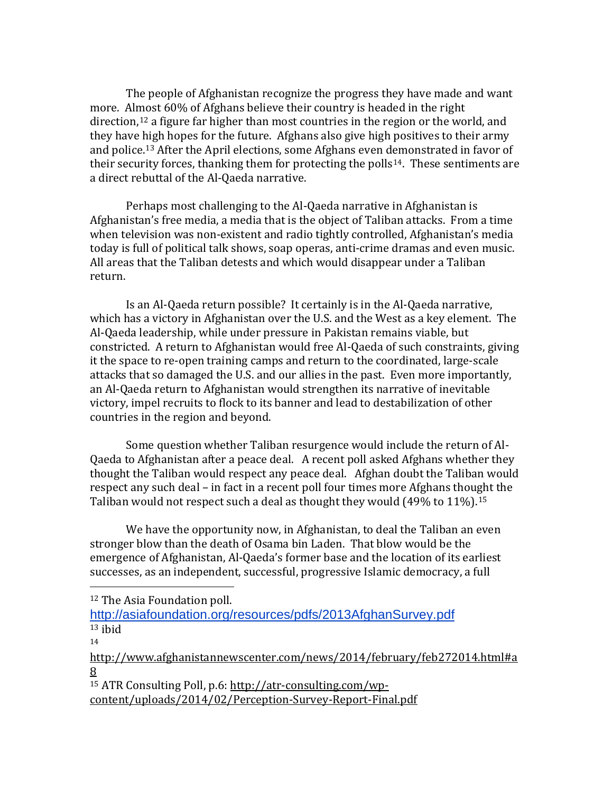The people of Afghanistan recognize the progress they have made and want more. Almost 60% of Afghans believe their country is headed in the right direction,<sup>[12](#page-5-0)</sup> a figure far higher than most countries in the region or the world, and they have high hopes for the future. Afghans also give high positives to their army and police.[13](#page-5-1) After the April elections, some Afghans even demonstrated in favor of their security forces, thanking them for protecting the polls<sup>[14](#page-5-2)</sup>. These sentiments are a direct rebuttal of the Al-Qaeda narrative.

Perhaps most challenging to the Al-Qaeda narrative in Afghanistan is Afghanistan's free media, a media that is the object of Taliban attacks. From a time when television was non-existent and radio tightly controlled, Afghanistan's media today is full of political talk shows, soap operas, anti-crime dramas and even music. All areas that the Taliban detests and which would disappear under a Taliban return.

Is an Al-Qaeda return possible? It certainly is in the Al-Qaeda narrative, which has a victory in Afghanistan over the U.S. and the West as a key element. The Al-Qaeda leadership, while under pressure in Pakistan remains viable, but constricted. A return to Afghanistan would free Al-Qaeda of such constraints, giving it the space to re-open training camps and return to the coordinated, large-scale attacks that so damaged the U.S. and our allies in the past. Even more importantly, an Al-Qaeda return to Afghanistan would strengthen its narrative of inevitable victory, impel recruits to flock to its banner and lead to destabilization of other countries in the region and beyond.

Some question whether Taliban resurgence would include the return of Al-Qaeda to Afghanistan after a peace deal. A recent poll asked Afghans whether they thought the Taliban would respect any peace deal. Afghan doubt the Taliban would respect any such deal – in fact in a recent poll four times more Afghans thought the Taliban would not respect such a deal as thought they would (49% to 11%).<sup>[15](#page-5-3)</sup>

We have the opportunity now, in Afghanistan, to deal the Taliban an even stronger blow than the death of Osama bin Laden. That blow would be the emergence of Afghanistan, Al-Qaeda's former base and the location of its earliest successes, as an independent, successful, progressive Islamic democracy, a full

<span id="page-5-0"></span><sup>12</sup> The Asia Foundation poll.

<span id="page-5-1"></span><http://asiafoundation.org/resources/pdfs/2013AfghanSurvey.pdf>  $13$  ibid

 $\overline{a}$ 

<span id="page-5-2"></span>[http://www.afghanistannewscenter.com/news/2014/february/feb272014.html#a](http://www.afghanistannewscenter.com/news/2014/february/feb272014.html#a8) [8](http://www.afghanistannewscenter.com/news/2014/february/feb272014.html#a8)

<span id="page-5-3"></span><sup>15</sup> ATR Consulting Poll, p.6: [http://atr-consulting.com/wp](http://atr-consulting.com/wp-content/uploads/2014/02/Perception-Survey-Report-Final.pdf)[content/uploads/2014/02/Perception-Survey-Report-Final.pdf](http://atr-consulting.com/wp-content/uploads/2014/02/Perception-Survey-Report-Final.pdf)

<sup>14</sup>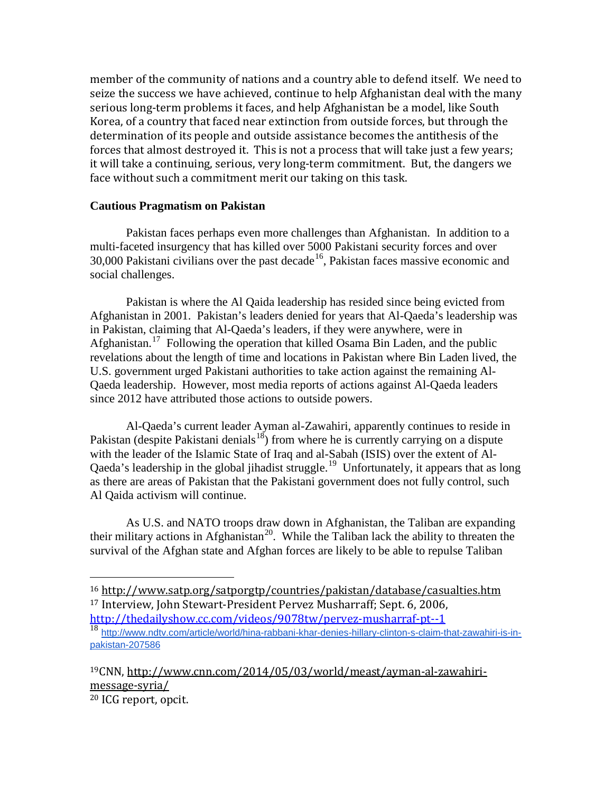member of the community of nations and a country able to defend itself. We need to seize the success we have achieved, continue to help Afghanistan deal with the many serious long-term problems it faces, and help Afghanistan be a model, like South Korea, of a country that faced near extinction from outside forces, but through the determination of its people and outside assistance becomes the antithesis of the forces that almost destroyed it. This is not a process that will take just a few years; it will take a continuing, serious, very long-term commitment. But, the dangers we face without such a commitment merit our taking on this task.

## **Cautious Pragmatism on Pakistan**

Pakistan faces perhaps even more challenges than Afghanistan. In addition to a multi-faceted insurgency that has killed over 5000 Pakistani security forces and over  $30,000$  Pakistani civilians over the past decade<sup>[16](#page-6-0)</sup>. Pakistan faces massive economic and social challenges.

Pakistan is where the Al Qaida leadership has resided since being evicted from Afghanistan in 2001. Pakistan's leaders denied for years that Al-Qaeda's leadership was in Pakistan, claiming that Al-Qaeda's leaders, if they were anywhere, were in Afghanistan.<sup>[17](#page-6-1)</sup> Following the operation that killed Osama Bin Laden, and the public revelations about the length of time and locations in Pakistan where Bin Laden lived, the U.S. government urged Pakistani authorities to take action against the remaining Al-Qaeda leadership. However, most media reports of actions against Al-Qaeda leaders since 2012 have attributed those actions to outside powers.

Al-Qaeda's current leader Ayman al-Zawahiri, apparently continues to reside in Pakistan (despite Pakistani denials<sup>[18](#page-6-2)</sup>) from where he is currently carrying on a dispute with the leader of the Islamic State of Iraq and al-Sabah (ISIS) over the extent of Al-Qaeda's leadership in the global jihadist struggle.<sup>[19](#page-6-3)</sup> Unfortunately, it appears that as long as there are areas of Pakistan that the Pakistani government does not fully control, such Al Qaida activism will continue.

As U.S. and NATO troops draw down in Afghanistan, the Taliban are expanding their military actions in Afghanistan<sup>20</sup>. While the Taliban lack the ability to threaten the survival of the Afghan state and Afghan forces are likely to be able to repulse Taliban

 $\overline{a}$ 

<span id="page-6-1"></span><span id="page-6-0"></span><sup>16</sup> <http://www.satp.org/satporgtp/countries/pakistan/database/casualties.htm> <sup>17</sup> Interview, John Stewart-President Pervez Musharraff; Sept. 6, 2006,

<http://thedailyshow.cc.com/videos/9078tw/pervez-musharraf-pt--1>

<span id="page-6-4"></span><span id="page-6-3"></span><span id="page-6-2"></span><sup>18</sup> [http://www.ndtv.com/article/world/hina-rabbani-khar-denies-hillary-clinton-s-claim-that-zawahiri-is-in](http://www.ndtv.com/article/world/hina-rabbani-khar-denies-hillary-clinton-s-claim-that-zawahiri-is-in-pakistan-207586)[pakistan-207586](http://www.ndtv.com/article/world/hina-rabbani-khar-denies-hillary-clinton-s-claim-that-zawahiri-is-in-pakistan-207586)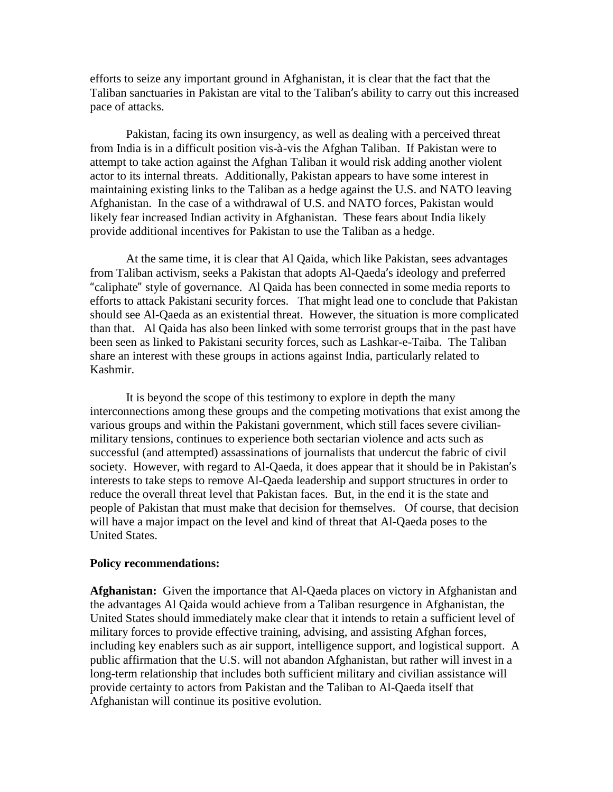efforts to seize any important ground in Afghanistan, it is clear that the fact that the Taliban sanctuaries in Pakistan are vital to the Taliban's ability to carry out this increased pace of attacks.

Pakistan, facing its own insurgency, as well as dealing with a perceived threat from India is in a difficult position vis-à-vis the Afghan Taliban. If Pakistan were to attempt to take action against the Afghan Taliban it would risk adding another violent actor to its internal threats. Additionally, Pakistan appears to have some interest in maintaining existing links to the Taliban as a hedge against the U.S. and NATO leaving Afghanistan. In the case of a withdrawal of U.S. and NATO forces, Pakistan would likely fear increased Indian activity in Afghanistan. These fears about India likely provide additional incentives for Pakistan to use the Taliban as a hedge.

At the same time, it is clear that Al Qaida, which like Pakistan, sees advantages from Taliban activism, seeks a Pakistan that adopts Al-Qaeda's ideology and preferred "caliphate" style of governance. Al Qaida has been connected in some media reports to efforts to attack Pakistani security forces. That might lead one to conclude that Pakistan should see Al-Qaeda as an existential threat. However, the situation is more complicated than that. Al Qaida has also been linked with some terrorist groups that in the past have been seen as linked to Pakistani security forces, such as Lashkar-e-Taiba. The Taliban share an interest with these groups in actions against India, particularly related to Kashmir.

It is beyond the scope of this testimony to explore in depth the many interconnections among these groups and the competing motivations that exist among the various groups and within the Pakistani government, which still faces severe civilianmilitary tensions, continues to experience both sectarian violence and acts such as successful (and attempted) assassinations of journalists that undercut the fabric of civil society. However, with regard to Al-Qaeda, it does appear that it should be in Pakistan's interests to take steps to remove Al-Qaeda leadership and support structures in order to reduce the overall threat level that Pakistan faces. But, in the end it is the state and people of Pakistan that must make that decision for themselves. Of course, that decision will have a major impact on the level and kind of threat that Al-Qaeda poses to the United States.

## **Policy recommendations:**

**Afghanistan:** Given the importance that Al-Qaeda places on victory in Afghanistan and the advantages Al Qaida would achieve from a Taliban resurgence in Afghanistan, the United States should immediately make clear that it intends to retain a sufficient level of military forces to provide effective training, advising, and assisting Afghan forces, including key enablers such as air support, intelligence support, and logistical support. A public affirmation that the U.S. will not abandon Afghanistan, but rather will invest in a long-term relationship that includes both sufficient military and civilian assistance will provide certainty to actors from Pakistan and the Taliban to Al-Qaeda itself that Afghanistan will continue its positive evolution.